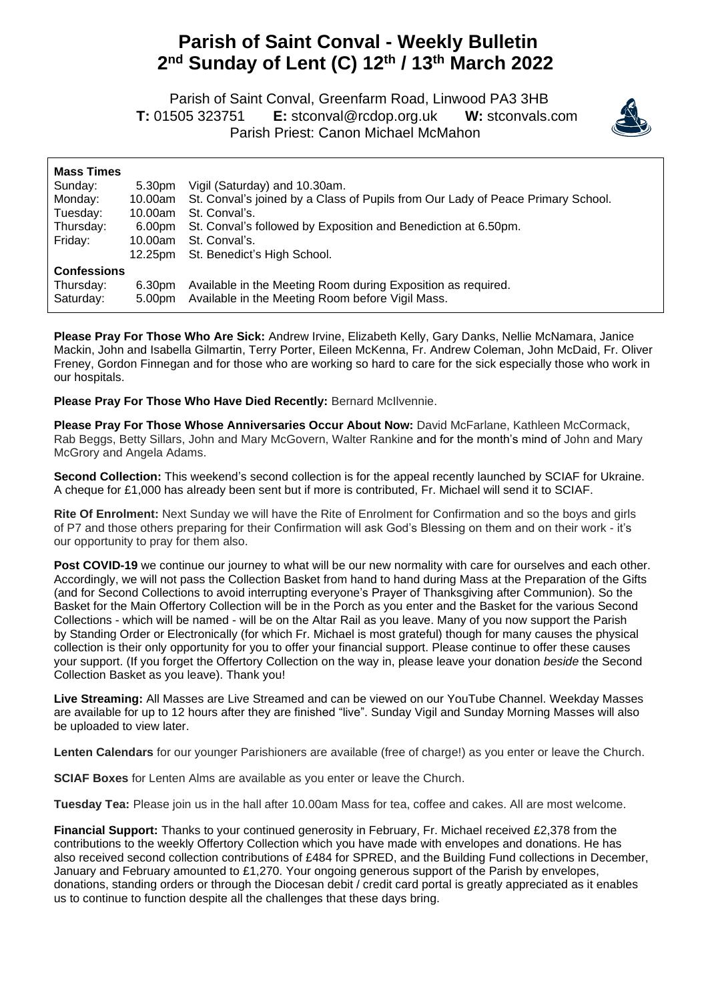## **Parish of Saint Conval - Weekly Bulletin 2 nd Sunday of Lent (C) 12th / 13th March 2022**

 Parish of Saint Conval, Greenfarm Road, Linwood PA3 3HB **T:** 01505 323751 **E:** [stconval@rcdop.org.uk](mailto:stconval@rcdop.org.uk) **W:** stconvals.com Parish Priest: Canon Michael McMahon



| <b>Mass Times</b>  | 5.30pm             | Vigil (Saturday) and 10.30am.                                                   |
|--------------------|--------------------|---------------------------------------------------------------------------------|
| Sunday:            | 10.00am            | St. Conval's joined by a Class of Pupils from Our Lady of Peace Primary School. |
| Monday:            | 10.00am            | St. Conval's.                                                                   |
| Tuesday:           | 6.00pm             | St. Conval's followed by Exposition and Benediction at 6.50pm.                  |
| Thursday:          | 10.00am            | St. Conval's.                                                                   |
| Friday:            | 12.25pm            | St. Benedict's High School.                                                     |
| <b>Confessions</b> |                    |                                                                                 |
| Thursday:          | 6.30pm             | Available in the Meeting Room during Exposition as required.                    |
| Saturday:          | 5.00 <sub>pm</sub> | Available in the Meeting Room before Vigil Mass.                                |

**Please Pray For Those Who Are Sick:** Andrew Irvine, Elizabeth Kelly, Gary Danks, Nellie McNamara, Janice Mackin, John and Isabella Gilmartin, Terry Porter, Eileen McKenna, Fr. Andrew Coleman, John McDaid, Fr. Oliver Freney, Gordon Finnegan and for those who are working so hard to care for the sick especially those who work in our hospitals.

**Please Pray For Those Who Have Died Recently:** Bernard McIlvennie.

**Please Pray For Those Whose Anniversaries Occur About Now:** David McFarlane, Kathleen McCormack, Rab Beggs, Betty Sillars, John and Mary McGovern, Walter Rankine and for the month's mind of John and Mary McGrory and Angela Adams.

**Second Collection:** This weekend's second collection is for the appeal recently launched by SCIAF for Ukraine. A cheque for £1,000 has already been sent but if more is contributed, Fr. Michael will send it to SCIAF.

**Rite Of Enrolment:** Next Sunday we will have the Rite of Enrolment for Confirmation and so the boys and girls of P7 and those others preparing for their Confirmation will ask God's Blessing on them and on their work - it's our opportunity to pray for them also.

**Post COVID-19** we continue our journey to what will be our new normality with care for ourselves and each other. Accordingly, we will not pass the Collection Basket from hand to hand during Mass at the Preparation of the Gifts (and for Second Collections to avoid interrupting everyone's Prayer of Thanksgiving after Communion). So the Basket for the Main Offertory Collection will be in the Porch as you enter and the Basket for the various Second Collections - which will be named - will be on the Altar Rail as you leave. Many of you now support the Parish by Standing Order or Electronically (for which Fr. Michael is most grateful) though for many causes the physical collection is their only opportunity for you to offer your financial support. Please continue to offer these causes your support. (If you forget the Offertory Collection on the way in, please leave your donation *beside* the Second Collection Basket as you leave). Thank you!

**Live Streaming:** All Masses are Live Streamed and can be viewed on our YouTube Channel. Weekday Masses are available for up to 12 hours after they are finished "live". Sunday Vigil and Sunday Morning Masses will also be uploaded to view later.

**Lenten Calendars** for our younger Parishioners are available (free of charge!) as you enter or leave the Church.

**SCIAF Boxes** for Lenten Alms are available as you enter or leave the Church.

**Tuesday Tea:** Please join us in the hall after 10.00am Mass for tea, coffee and cakes. All are most welcome.

**Financial Support:** Thanks to your continued generosity in February, Fr. Michael received £2,378 from the contributions to the weekly Offertory Collection which you have made with envelopes and donations. He has also received second collection contributions of £484 for SPRED, and the Building Fund collections in December, January and February amounted to £1,270. Your ongoing generous support of the Parish by envelopes, donations, standing orders or through the Diocesan debit / credit card portal is greatly appreciated as it enables us to continue to function despite all the challenges that these days bring.